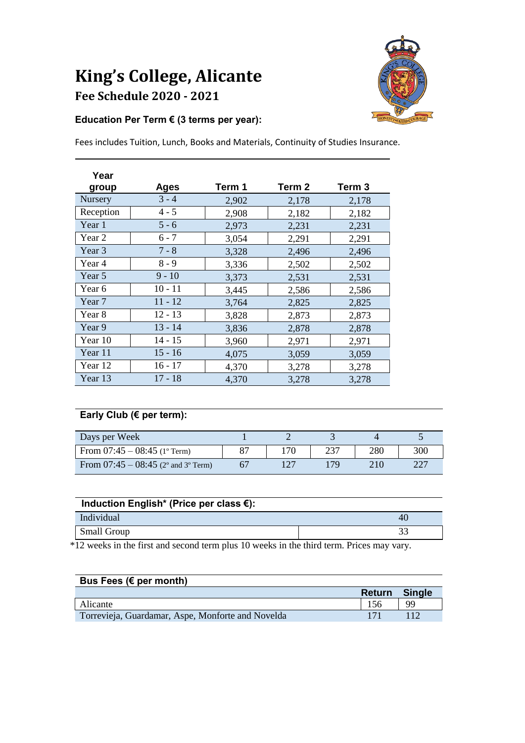# **King's College, Alicante Fee Schedule 2020 - <sup>2021</sup>**



### **Education Per Term € (3 terms per year):**

Fees includes Tuition, Lunch, Books and Materials, Continuity of Studies Insurance.

| Year<br>group | <b>Ages</b> | Term 1 | Term 2 | Term <sub>3</sub> |
|---------------|-------------|--------|--------|-------------------|
| Nursery       | $3 - 4$     | 2,902  | 2,178  | 2,178             |
| Reception     | $4 - 5$     | 2,908  | 2,182  | 2,182             |
| Year 1        | $5 - 6$     | 2,973  | 2,231  | 2,231             |
| Year 2        | $6 - 7$     | 3,054  | 2,291  | 2,291             |
| Year 3        | $7 - 8$     | 3,328  | 2,496  | 2,496             |
| Year 4        | $8 - 9$     | 3,336  | 2,502  | 2,502             |
| Year 5        | $9 - 10$    | 3,373  | 2,531  | 2,531             |
| Year 6        | $10 - 11$   | 3,445  | 2,586  | 2,586             |
| Year 7        | $11 - 12$   | 3,764  | 2,825  | 2,825             |
| Year 8        | $12 - 13$   | 3,828  | 2,873  | 2,873             |
| Year 9        | $13 - 14$   | 3,836  | 2,878  | 2,878             |
| Year 10       | $14 - 15$   | 3,960  | 2,971  | 2,971             |
| Year 11       | $15 - 16$   | 4,075  | 3,059  | 3,059             |
| Year 12       | $16 - 17$   | 4,370  | 3,278  | 3,278             |
| Year 13       | $17 - 18$   | 4,370  | 3,278  | 3,278             |

### **Early Club (€ per term):**

| Days per Week                         |    |     |     |      |
|---------------------------------------|----|-----|-----|------|
| From $07:45 - 08:45$ (1° Term)        | 87 | 237 | 280 | 300  |
| From $07:45 - 08:45$ (2° and 3° Term) |    | 170 | 210 | -227 |

| Induction English* (Price per class $\epsilon$ ): |    |  |  |  |
|---------------------------------------------------|----|--|--|--|
| Individual                                        | 40 |  |  |  |
| Small Group                                       |    |  |  |  |

\*12 weeks in the first and second term plus 10 weeks in the third term. Prices may vary.

| Bus Fees ( $\epsilon$ per month)                  |               |               |
|---------------------------------------------------|---------------|---------------|
|                                                   | <b>Return</b> | <b>Single</b> |
| Alicante                                          | 156           | 99            |
| Torrevieja, Guardamar, Aspe, Monforte and Novelda |               |               |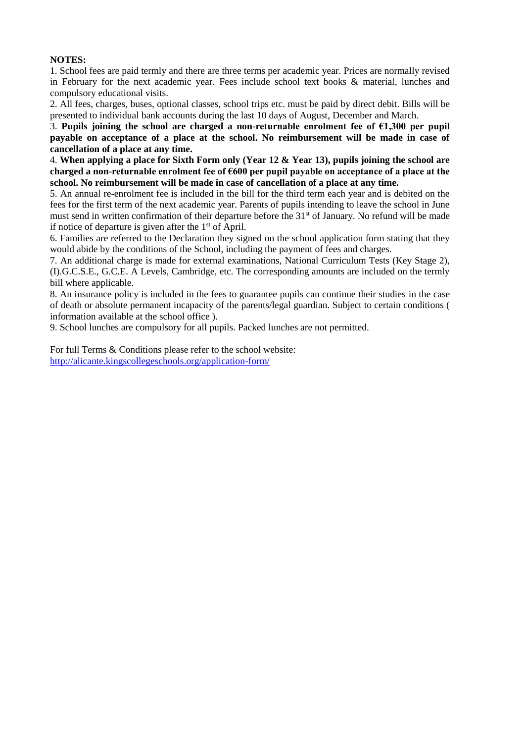#### **NOTES:**

1. School fees are paid termly and there are three terms per academic year. Prices are normally revised in February for the next academic year. Fees include school text books & material, lunches and compulsory educational visits.

2. All fees, charges, buses, optional classes, school trips etc. must be paid by direct debit. Bills will be presented to individual bank accounts during the last 10 days of August, December and March.

3. Pupils joining the school are charged a non-returnable enrolment fee of  $\epsilon$ 1,300 per pupil **payable on acceptance of a place at the school. No reimbursement will be made in case of cancellation of a place at any time.** 

4. **When applying a place for Sixth Form only (Year 12 & Year 13), pupils joining the school are charged a non-returnable enrolment fee of €600 per pupil payable on acceptance of a place at the school. No reimbursement will be made in case of cancellation of a place at any time.** 

5. An annual re-enrolment fee is included in the bill for the third term each year and is debited on the fees for the first term of the next academic year. Parents of pupils intending to leave the school in June must send in written confirmation of their departure before the 31<sup>st</sup> of January. No refund will be made if notice of departure is given after the  $1<sup>st</sup>$  of April.

6. Families are referred to the Declaration they signed on the school application form stating that they would abide by the conditions of the School, including the payment of fees and charges.

7. An additional charge is made for external examinations, National Curriculum Tests (Key Stage 2), (I).G.C.S.E., G.C.E. A Levels, Cambridge, etc. The corresponding amounts are included on the termly bill where applicable.

8. An insurance policy is included in the fees to guarantee pupils can continue their studies in the case of death or absolute permanent incapacity of the parents/legal guardian. Subject to certain conditions ( information available at the school office ).

9. School lunches are compulsory for all pupils. Packed lunches are not permitted.

For full Terms & Conditions please refer to the school website: <http://alicante.kingscollegeschools.org/application-form/>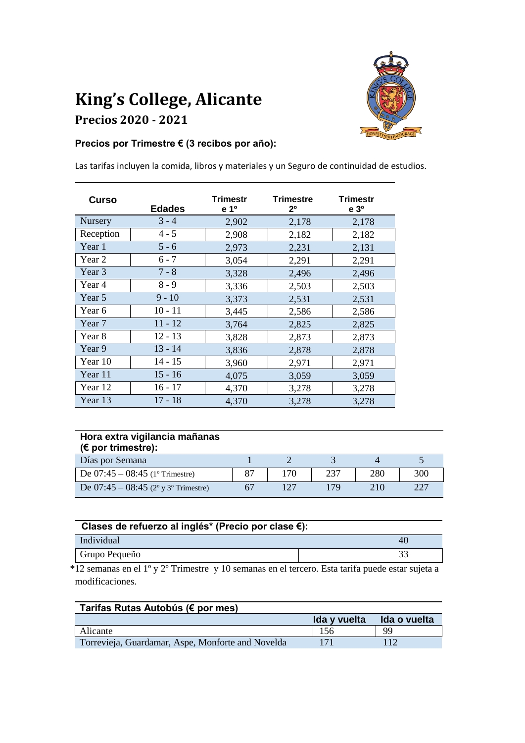# **King's College, Alicante Precios 2020 - <sup>2021</sup>**



## **Precios por Trimestre € (3 recibos por año):**

Las tarifas incluyen la comida, libros y materiales y un Seguro de continuidad de estudios.

| Curso          | <b>Edades</b> | Trimestr<br>e 1 <sup>o</sup> | <b>Trimestre</b><br>2 <sup>o</sup> | <b>Trimestr</b><br>e <sub>3</sub> |
|----------------|---------------|------------------------------|------------------------------------|-----------------------------------|
| <b>Nursery</b> | $3 - 4$       | 2,902                        | 2,178                              | 2,178                             |
| Reception      | $4 - 5$       | 2,908                        | 2,182                              | 2,182                             |
| Year 1         | $5 - 6$       | 2,973                        | 2,231                              | 2,131                             |
| Year 2         | $6 - 7$       | 3,054                        | 2,291                              | 2,291                             |
| Year 3         | $7 - 8$       | 3,328                        | 2,496                              | 2,496                             |
| Year 4         | $8 - 9$       | 3,336                        | 2,503                              | 2,503                             |
| Year 5         | $9 - 10$      | 3,373                        | 2,531                              | 2,531                             |
| Year 6         | $10 - 11$     | 3,445                        | 2,586                              | 2,586                             |
| Year 7         | $11 - 12$     | 3,764                        | 2,825                              | 2,825                             |
| Year 8         | $12 - 13$     | 3,828                        | 2,873                              | 2,873                             |
| Year 9         | $13 - 14$     | 3,836                        | 2,878                              | 2,878                             |
| Year 10        | 14 - 15       | 3,960                        | 2,971                              | 2,971                             |
| Year 11        | $15 - 16$     | 4,075                        | 3,059                              | 3,059                             |
| Year 12        | $16 - 17$     | 4,370                        | 3,278                              | 3,278                             |
| Year 13        | 17 - 18       | 4,370                        | 3,278                              | 3,278                             |

| Hora extra vigilancia mañanas<br>( $\epsilon$ por trimestre): |    |     |     |     |     |
|---------------------------------------------------------------|----|-----|-----|-----|-----|
| Días por Semana                                               |    |     |     |     |     |
| De $07:45 - 08:45$ (1° Trimestre)                             | 87 | 170 | 237 | 280 | 300 |
| De $07:45 - 08:45$ (2° y 3° Trimestre)                        |    |     | 179 | 210 | 227 |

| Clases de refuerzo al inglés* (Precio por clase €): |    |  |  |  |
|-----------------------------------------------------|----|--|--|--|
| Individual                                          | 40 |  |  |  |
| Grupo Pequeño                                       | 33 |  |  |  |

 \*12 semanas en el 1º y 2º Trimestre y 10 semanas en el tercero. Esta tarifa puede estar sujeta a modificaciones.

| Tarifas Rutas Autobús (€ por mes)                 |              |              |  |  |
|---------------------------------------------------|--------------|--------------|--|--|
|                                                   | Ida y vuelta | Ida o vuelta |  |  |
| Alicante                                          | 156          | 99           |  |  |
| Torrevieja, Guardamar, Aspe, Monforte and Novelda |              |              |  |  |